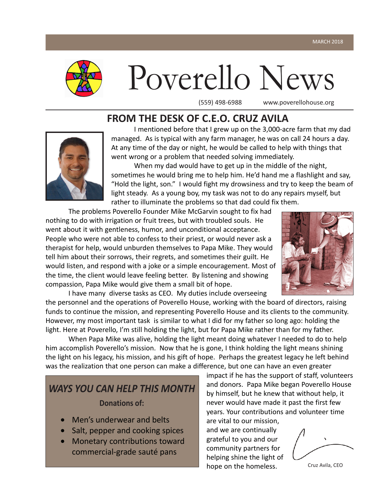

Poverello News

(559) 498-6988 www.poverellohouse.org

#### **FROM THE DESK OF C.E.O. CRUZ AVILA**



I mentioned before that I grew up on the 3,000-acre farm that my dad managed. As is typical with any farm manager, he was on call 24 hours a day. At any time of the day or night, he would be called to help with things that went wrong or a problem that needed solving immediately.

When my dad would have to get up in the middle of the night, sometimes he would bring me to help him. He'd hand me a flashlight and say, "Hold the light, son." I would fight my drowsiness and try to keep the beam of light steady. As a young boy, my task was not to do any repairs myself, but rather to illuminate the problems so that dad could fix them.

The problems Poverello Founder Mike McGarvin sought to fix had nothing to do with irrigation or fruit trees, but with troubled souls. He went about it with gentleness, humor, and unconditional acceptance. People who were not able to confess to their priest, or would never ask a therapist for help, would unburden themselves to Papa Mike. They would tell him about their sorrows, their regrets, and sometimes their guilt. He would listen, and respond with a joke or a simple encouragement. Most of the time, the client would leave feeling better. By listening and showing compassion, Papa Mike would give them a small bit of hope.



I have many diverse tasks as CEO. My duties include overseeing

the personnel and the operations of Poverello House, working with the board of directors, raising funds to continue the mission, and representing Poverello House and its clients to the community. However, my most important task is similar to what I did for my father so long ago: holding the light. Here at Poverello, I'm still holding the light, but for Papa Mike rather than for my father.

When Papa Mike was alive, holding the light meant doing whatever I needed to do to help him accomplish Poverello's mission. Now that he is gone, I think holding the light means shining the light on his legacy, his mission, and his gift of hope. Perhaps the greatest legacy he left behind was the realization that one person can make a difference, but one can have an even greater

### *WAYS YOU CAN HELP THIS MONTH* **Donations of:**

- Men's underwear and belts
- Salt, pepper and cooking spices
- Monetary contributions toward commercial-grade sauté pans

impact if he has the support of staff, volunteers and donors. Papa Mike began Poverello House by himself, but he knew that without help, it never would have made it past the first few years. Your contributions and volunteer time are vital to our mission,

and we are continually grateful to you and our community partners for helping shine the light of hope on the homeless.

Cruz Avila, CEO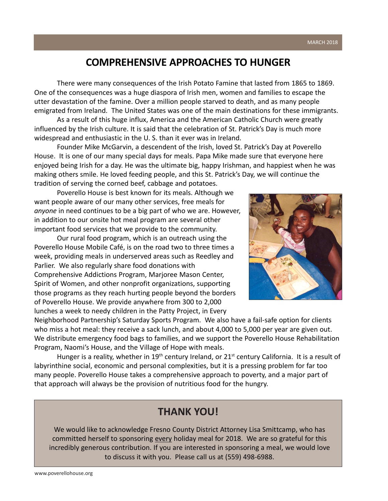# **COMPREHENSIVE APPROACHES TO HUNGER**

There were many consequences of the Irish Potato Famine that lasted from 1865 to 1869. One of the consequences was a huge diaspora of Irish men, women and families to escape the utter devastation of the famine. Over a million people starved to death, and as many people emigrated from Ireland. The United States was one of the main destinations for these immigrants.

As a result of this huge influx, America and the American Catholic Church were greatly influenced by the Irish culture. It is said that the celebration of St. Patrick's Day is much more widespread and enthusiastic in the U. S. than it ever was in Ireland.

Founder Mike McGarvin, a descendent of the Irish, loved St. Patrick's Day at Poverello House. It is one of our many special days for meals. Papa Mike made sure that everyone here enjoyed being Irish for a day. He was the ultimate big, happy Irishman, and happiest when he was making others smile. He loved feeding people, and this St. Patrick's Day, we will continue the tradition of serving the corned beef, cabbage and potatoes.

Poverello House is best known for its meals. Although we want people aware of our many other services, free meals for *anyone* in need continues to be a big part of who we are. However, in addition to our onsite hot meal program are several other important food services that we provide to the community.

Our rural food program, which is an outreach using the Poverello House Mobile Café, is on the road two to three times a week, providing meals in underserved areas such as Reedley and Parlier. We also regularly share food donations with Comprehensive Addictions Program, Marjoree Mason Center, Spirit of Women, and other nonprofit organizations, supporting those programs as they reach hurting people beyond the borders of Poverello House. We provide anywhere from 300 to 2,000 lunches a week to needy children in the Patty Project, in Every



Neighborhood Partnership's Saturday Sports Program. We also have a fail-safe option for clients who miss a hot meal: they receive a sack lunch, and about 4,000 to 5,000 per year are given out. We distribute emergency food bags to families, and we support the Poverello House Rehabilitation Program, Naomi's House, and the Village of Hope with meals.

Hunger is a reality, whether in 19<sup>th</sup> century Ireland, or 21<sup>st</sup> century California. It is a result of labyrinthine social, economic and personal complexities, but it is a pressing problem for far too many people. Poverello House takes a comprehensive approach to poverty, and a major part of that approach will always be the provision of nutritious food for the hungry.

# **THANK YOU!**

We would like to acknowledge Fresno County District Attorney Lisa Smittcamp, who has committed herself to sponsoring every holiday meal for 2018. We are so grateful for this incredibly generous contribution. If you are interested in sponsoring a meal, we would love to discuss it with you. Please call us at (559) 498-6988.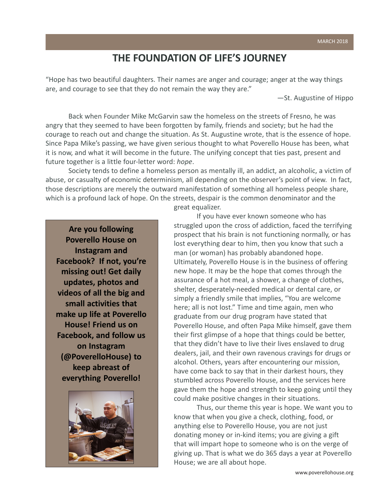#### **THE FOUNDATION OF LIFE'S JOURNEY**

"Hope has two beautiful daughters. Their names are anger and courage; anger at the way things are, and courage to see that they do not remain the way they are."

—St. Augustine of Hippo

Back when Founder Mike McGarvin saw the homeless on the streets of Fresno, he was angry that they seemed to have been forgotten by family, friends and society; but he had the courage to reach out and change the situation. As St. Augustine wrote, that is the essence of hope. Since Papa Mike's passing, we have given serious thought to what Poverello House has been, what it is now, and what it will become in the future. The unifying concept that ties past, present and future together is a little four-letter word: *hope*.

Society tends to define a homeless person as mentally ill, an addict, an alcoholic, a victim of abuse, or casualty of economic determinism, all depending on the observer's point of view. In fact, those descriptions are merely the outward manifestation of something all homeless people share, which is a profound lack of hope. On the streets, despair is the common denominator and the

**Are you following Poverello House on Instagram and Facebook? If not, you're missing out! Get daily updates, photos and videos of all the big and small activities that make up life at Poverello House! Friend us on Facebook, and follow us on Instagram (@PoverelloHouse) to keep abreast of everything Poverello!**



great equalizer.

If you have ever known someone who has struggled upon the cross of addiction, faced the terrifying prospect that his brain is not functioning normally, or has lost everything dear to him, then you know that such a man (or woman) has probably abandoned hope. Ultimately, Poverello House is in the business of offering new hope. It may be the hope that comes through the assurance of a hot meal, a shower, a change of clothes, shelter, desperately-needed medical or dental care, or simply a friendly smile that implies, "You are welcome here; all is not lost." Time and time again, men who graduate from our drug program have stated that Poverello House, and often Papa Mike himself, gave them their first glimpse of a hope that things could be better, that they didn't have to live their lives enslaved to drug dealers, jail, and their own ravenous cravings for drugs or alcohol. Others, years after encountering our mission, have come back to say that in their darkest hours, they stumbled across Poverello House, and the services here gave them the hope and strength to keep going until they could make positive changes in their situations.

Thus, our theme this year is hope. We want you to know that when you give a check, clothing, food, or anything else to Poverello House, you are not just donating money or in-kind items; you are giving a gift that will impart hope to someone who is on the verge of giving up. That is what we do 365 days a year at Poverello House; we are all about hope.